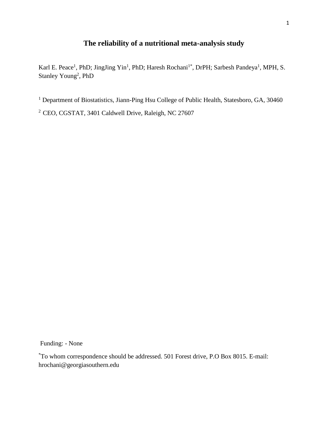# **The reliability of a nutritional meta-analysis study**

Karl E. Peace<sup>1</sup>, PhD; JingJing Yin<sup>1</sup>, PhD; Haresh Rochani<sup>1\*</sup>, DrPH; Sarbesh Pandeya<sup>1</sup>, MPH, S. Stanley Young<sup>2</sup>, PhD

<sup>1</sup> Department of Biostatistics, Jiann-Ping Hsu College of Public Health, Statesboro, GA, 30460

<sup>2</sup> CEO, CGSTAT, 3401 Caldwell Drive, Raleigh, NC 27607

Funding: - None

\*To whom correspondence should be addressed. 501 Forest drive, P.O Box 8015. E-mail: hrochani@georgiasouthern.edu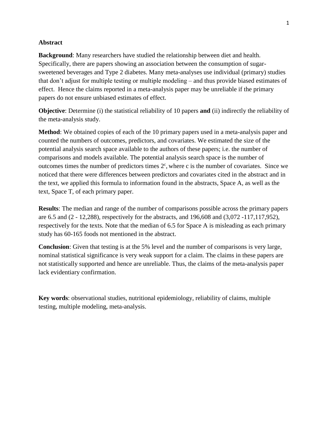### **Abstract**

**Background:** Many researchers have studied the relationship between diet and health. Specifically, there are papers showing an association between the consumption of sugarsweetened beverages and Type 2 diabetes. Many meta-analyses use individual (primary) studies that don't adjust for multiple testing or multiple modeling – and thus provide biased estimates of effect. Hence the claims reported in a meta-analysis paper may be unreliable if the primary papers do not ensure unbiased estimates of effect.

**Objective**: Determine (i) the statistical reliability of 10 papers **and** (ii) indirectly the reliability of the meta-analysis study.

**Method**: We obtained copies of each of the 10 primary papers used in a meta-analysis paper and counted the numbers of outcomes, predictors, and covariates. We estimated the size of the potential analysis search space available to the authors of these papers; i.e. the number of comparisons and models available. The potential analysis search space is the number of outcomes times the number of predictors times  $2<sup>c</sup>$ , where c is the number of covariates. Since we noticed that there were differences between predictors and covariates cited in the abstract and in the text, we applied this formula to information found in the abstracts, Space A, as well as the text, Space T, of each primary paper.

**Results**: The median and range of the number of comparisons possible across the primary papers are 6.5 and (2 - 12,288), respectively for the abstracts, and 196,608 and (3,072 -117,117,952), respectively for the texts. Note that the median of 6.5 for Space A is misleading as each primary study has 60-165 foods not mentioned in the abstract.

**Conclusion**: Given that testing is at the 5% level and the number of comparisons is very large, nominal statistical significance is very weak support for a claim. The claims in these papers are not statistically supported and hence are unreliable. Thus, the claims of the meta-analysis paper lack evidentiary confirmation.

**Key words**: observational studies, nutritional epidemiology, reliability of claims, multiple testing, multiple modeling, meta-analysis.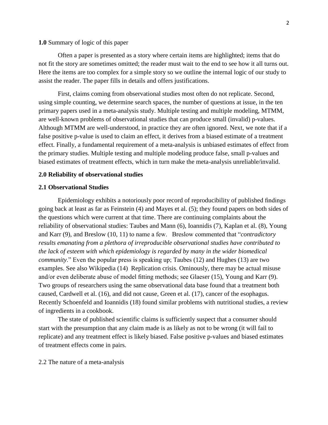### **1.0** Summary of logic of this paper

Often a paper is presented as a story where certain items are highlighted; items that do not fit the story are sometimes omitted; the reader must wait to the end to see how it all turns out. Here the items are too complex for a simple story so we outline the internal logic of our study to assist the reader. The paper fills in details and offers justifications.

First, claims coming from observational studies most often do not replicate. Second, using simple counting, we determine search spaces, the number of questions at issue, in the ten primary papers used in a meta-analysis study. Multiple testing and multiple modeling, MTMM, are well-known problems of observational studies that can produce small (invalid) p-values. Although MTMM are well-understood, in practice they are often ignored. Next, we note that if a false positive p-value is used to claim an effect, it derives from a biased estimate of a treatment effect. Finally, a fundamental requirement of a meta-analysis is unbiased estimates of effect from the primary studies. Multiple testing and multiple modeling produce false, small p-values and biased estimates of treatment effects, which in turn make the meta-analysis unreliable/invalid.

#### **2.0 Reliability of observational studies**

### **2.1 Observational Studies**

Epidemiology exhibits a notoriously poor record of reproducibility of published findings going back at least as far as Feinstein (4) and Mayes et al. (5); they found papers on both sides of the questions which were current at that time. There are continuing complaints about the reliability of observational studies: Taubes and Mann (6), Ioannidis (7), Kaplan et al. (8), Young and Karr (9), and Breslow (10, 11) to name a few. Breslow commented that "*contradictory results emanating from a plethora of irreproducible observational studies have contributed to the lack of esteem with which epidemiology is regarded by many in the wider biomedical community*." Even the popular press is speaking up; Taubes (12) and Hughes (13) are two examples. See also Wikipedia (14) Replication crisis. Ominously, there may be actual misuse and/or even deliberate abuse of model fitting methods; see Glaeser (15), Young and Karr (9). Two groups of researchers using the same observational data base found that a treatment both caused, Cardwell et al. (16), and did not cause, Green et al. (17), cancer of the esophagus. Recently Schoenfeld and Ioannidis (18) found similar problems with nutritional studies, a review of ingredients in a cookbook.

The state of published scientific claims is sufficiently suspect that a consumer should start with the presumption that any claim made is as likely as not to be wrong (it will fail to replicate) and any treatment effect is likely biased. False positive p-values and biased estimates of treatment effects come in pairs.

#### 2.2 The nature of a meta-analysis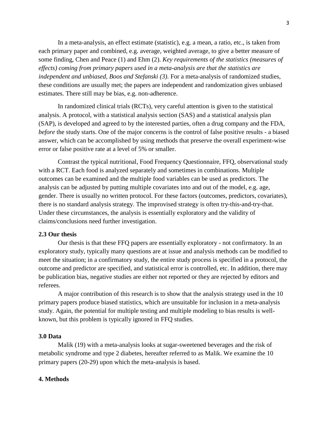In a meta-analysis, an effect estimate (statistic), e.g. a mean, a ratio, etc., is taken from each primary paper and combined, e.g. average, weighted average, to give a better measure of some finding, Chen and Peace (1) and Ehm (2). *Key requirements of the statistics (measures of effects) coming from primary papers used in a meta-analysis are that the statistics are independent and unbiased, Boos and Stefanski (3).* For a meta-analysis of randomized studies, these conditions are usually met; the papers are independent and randomization gives unbiased estimates. There still may be bias, e.g. non-adherence.

In randomized clinical trials (RCTs), very careful attention is given to the statistical analysis. A protocol, with a statistical analysis section (SAS) and a statistical analysis plan (SAP), is developed and agreed to by the interested parties, often a drug company and the FDA, *before* the study starts. One of the major concerns is the control of false positive results - a biased answer, which can be accomplished by using methods that preserve the overall experiment-wise error or false positive rate at a level of 5% or smaller.

Contrast the typical nutritional, Food Frequency Questionnaire, FFQ, observational study with a RCT. Each food is analyzed separately and sometimes in combinations. Multiple outcomes can be examined and the multiple food variables can be used as predictors. The analysis can be adjusted by putting multiple covariates into and out of the model, e.g. age, gender. There is usually no written protocol. For these factors (outcomes, predictors, covariates), there is no standard analysis strategy. The improvised strategy is often try-this-and-try-that. Under these circumstances, the analysis is essentially exploratory and the validity of claims/conclusions need further investigation.

### **2.3 Our thesis**

Our thesis is that these FFQ papers are essentially exploratory - not confirmatory. In an exploratory study, typically many questions are at issue and analysis methods can be modified to meet the situation; in a confirmatory study, the entire study process is specified in a protocol, the outcome and predictor are specified, and statistical error is controlled, etc. In addition, there may be publication bias, negative studies are either not reported or they are rejected by editors and referees.

A major contribution of this research is to show that the analysis strategy used in the 10 primary papers produce biased statistics, which are unsuitable for inclusion in a meta-analysis study. Again, the potential for multiple testing and multiple modeling to bias results is wellknown, but this problem is typically ignored in FFQ studies.

## **3.0 Data**

Malik (19) with a meta-analysis looks at sugar-sweetened beverages and the risk of metabolic syndrome and type 2 diabetes, hereafter referred to as Malik. We examine the 10 primary papers (20-29) upon which the meta-analysis is based.

### **4. Methods**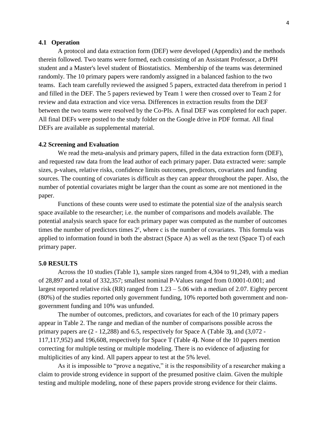### **4.1 Operation**

A protocol and data extraction form (DEF) were developed (Appendix) and the methods therein followed. Two teams were formed, each consisting of an Assistant Professor, a DrPH student and a Master's level student of Biostatistics. Membership of the teams was determined randomly. The 10 primary papers were randomly assigned in a balanced fashion to the two teams. Each team carefully reviewed the assigned 5 papers, extracted data therefrom in period 1 and filled in the DEF. The 5 papers reviewed by Team 1 were then crossed over to Team 2 for review and data extraction and vice versa. Differences in extraction results from the DEF between the two teams were resolved by the Co-PIs. A final DEF was completed for each paper. All final DEFs were posted to the study folder on the Google drive in PDF format. All final DEFs are available as supplemental material.

### **4.2 Screening and Evaluation**

We read the meta-analysis and primary papers, filled in the data extraction form (DEF), and requested raw data from the lead author of each primary paper. Data extracted were: sample sizes, p-values, relative risks, confidence limits outcomes, predictors, covariates and funding sources. The counting of covariates is difficult as they can appear throughout the paper. Also, the number of potential covariates might be larger than the count as some are not mentioned in the paper.

Functions of these counts were used to estimate the potential size of the analysis search space available to the researcher; i.e. the number of comparisons and models available. The potential analysis search space for each primary paper was computed as the number of outcomes times the number of predictors times  $2<sup>c</sup>$ , where c is the number of covariates. This formula was applied to information found in both the abstract (Space A) as well as the text (Space T) of each primary paper.

### **5.0 RESULTS**

Across the 10 studies (Table 1), sample sizes ranged from 4,304 to 91,249, with a median of 28,897 and a total of 332,357; smallest nominal P-Values ranged from 0.0001-0.001; and largest reported relative risk (RR) ranged from 1.23 – 5.06 with a median of 2.07. Eighty percent (80%) of the studies reported only government funding, 10% reported both government and nongovernment funding and 10% was unfunded.

The number of outcomes, predictors, and covariates for each of the 10 primary papers appear in Table 2. The range and median of the number of comparisons possible across the primary papers are (2 - 12,288) and 6.5, respectively for Space A (Table 3**)**, and (3,072 - 117,117,952) and 196,608, respectively for Space T (Table 4**)**. None of the 10 papers mention correcting for multiple testing or multiple modeling. There is no evidence of adjusting for multiplicities of any kind. All papers appear to test at the 5% level.

As it is impossible to "prove a negative," it is the responsibility of a researcher making a claim to provide strong evidence in support of the presumed positive claim. Given the multiple testing and multiple modeling, none of these papers provide strong evidence for their claims.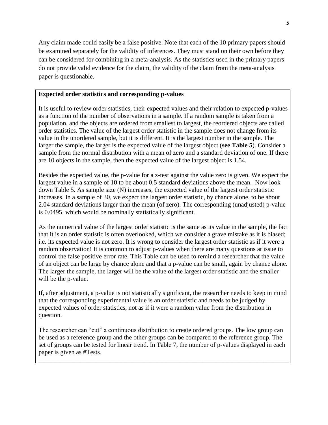Any claim made could easily be a false positive. Note that each of the 10 primary papers should be examined separately for the validity of inferences. They must stand on their own before they can be considered for combining in a meta-analysis. As the statistics used in the primary papers do not provide valid evidence for the claim, the validity of the claim from the meta-analysis paper is questionable.

## **Expected order statistics and corresponding p-values**

It is useful to review order statistics, their expected values and their relation to expected p-values as a function of the number of observations in a sample. If a random sample is taken from a population, and the objects are ordered from smallest to largest, the reordered objects are called order statistics. The value of the largest order statistic in the sample does not change from its value in the unordered sample, but it is different. It is the largest number in the sample. The larger the sample, the larger is the expected value of the largest object (**see Table 5**). Consider a sample from the normal distribution with a mean of zero and a standard deviation of one. If there are 10 objects in the sample, then the expected value of the largest object is 1.54.

Besides the expected value, the p-value for a z-test against the value zero is given. We expect the largest value in a sample of 10 to be about 0.5 standard deviations above the mean. Now look down Table 5. As sample size (N) increases, the expected value of the largest order statistic increases. In a sample of 30, we expect the largest order statistic, by chance alone, to be about 2.04 standard deviations larger than the mean (of zero). The corresponding (unadjusted) p-value is 0.0495, which would be nominally statistically significant.

As the numerical value of the largest order statistic is the same as its value in the sample, the fact that it is an order statistic is often overlooked, which we consider a grave mistake as it is biased; i.e. its expected value is not zero. It is wrong to consider the largest order statistic as if it were a random observation! It is common to adjust p-values when there are many questions at issue to control the false positive error rate. This Table can be used to remind a researcher that the value of an object can be large by chance alone and that a p-value can be small, again by chance alone. The larger the sample, the larger will be the value of the largest order statistic and the smaller will be the p-value.

If, after adjustment, a p-value is not statistically significant, the researcher needs to keep in mind that the corresponding experimental value is an order statistic and needs to be judged by expected values of order statistics, not as if it were a random value from the distribution in question.

The researcher can "cut" a continuous distribution to create ordered groups. The low group can be used as a reference group and the other groups can be compared to the reference group. The set of groups can be tested for linear trend. In Table 7, the number of p-values displayed in each paper is given as #Tests.

\_\_\_\_\_\_\_\_\_\_\_\_\_\_\_\_\_\_\_\_\_\_\_\_\_\_\_\_\_\_\_\_\_\_\_\_\_\_\_\_\_\_\_\_\_\_\_\_\_\_\_\_\_\_\_\_\_\_\_\_\_\_\_\_\_\_\_\_\_\_\_\_\_\_\_\_\_\_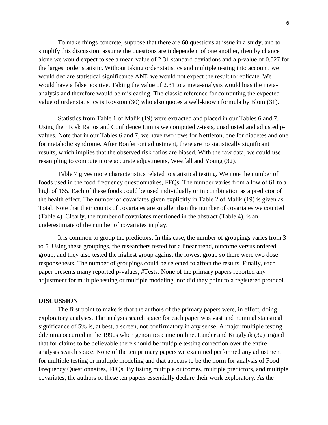To make things concrete, suppose that there are 60 questions at issue in a study, and to simplify this discussion, assume the questions are independent of one another, then by chance alone we would expect to see a mean value of 2.31 standard deviations and a p-value of 0.027 for the largest order statistic. Without taking order statistics and multiple testing into account, we would declare statistical significance AND we would not expect the result to replicate. We would have a false positive. Taking the value of 2.31 to a meta-analysis would bias the metaanalysis and therefore would be misleading. The classic reference for computing the expected value of order statistics is Royston (30) who also quotes a well-known formula by Blom (31).

Statistics from Table 1 of Malik (19) were extracted and placed in our Tables 6 and 7. Using their Risk Ratios and Confidence Limits we computed z-tests, unadjusted and adjusted pvalues. Note that in our Tables 6 and 7, we have two rows for Nettleton, one for diabetes and one for metabolic syndrome. After Bonferroni adjustment, there are no statistically significant results, which implies that the observed risk ratios are biased. With the raw data, we could use resampling to compute more accurate adjustments, Westfall and Young (32).

Table 7 gives more characteristics related to statistical testing. We note the number of foods used in the food frequency questionnaires, FFQs. The number varies from a low of 61 to a high of 165. Each of these foods could be used individually or in combination as a predictor of the health effect. The number of covariates given explicitly in Table 2 of Malik (19) is given as Total. Note that their counts of covariates are smaller than the number of covariates we counted (Table 4). Clearly, the number of covariates mentioned in the abstract (Table 4), is an underestimate of the number of covariates in play.

It is common to group the predictors. In this case, the number of groupings varies from 3 to 5. Using these groupings, the researchers tested for a linear trend, outcome versus ordered group, and they also tested the highest group against the lowest group so there were two dose response tests. The number of groupings could be selected to affect the results. Finally, each paper presents many reported p-values, #Tests. None of the primary papers reported any adjustment for multiple testing or multiple modeling, nor did they point to a registered protocol.

#### **DISCUSSION**

The first point to make is that the authors of the primary papers were, in effect, doing exploratory analyses. The analysis search space for each paper was vast and nominal statistical significance of 5% is, at best, a screen, not confirmatory in any sense. A major multiple testing dilemma occurred in the 1990s when genomics came on line. Lander and Kruglyak (32) argued that for claims to be believable there should be multiple testing correction over the entire analysis search space. None of the ten primary papers we examined performed any adjustment for multiple testing or multiple modeling and that appears to be the norm for analysis of Food Frequency Questionnaires, FFQs. By listing multiple outcomes, multiple predictors, and multiple covariates, the authors of these ten papers essentially declare their work exploratory. As the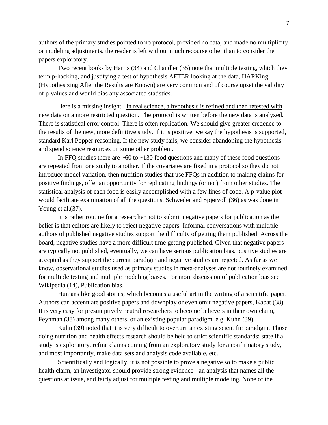authors of the primary studies pointed to no protocol, provided no data, and made no multiplicity or modeling adjustments, the reader is left without much recourse other than to consider the papers exploratory.

Two recent books by Harris (34) and Chandler (35) note that multiple testing, which they term p-hacking, and justifying a test of hypothesis AFTER looking at the data, HARKing (Hypothesizing After the Results are Known) are very common and of course upset the validity of p-values and would bias any associated statistics.

Here is a missing insight. In real science, a hypothesis is refined and then retested with new data on a more restricted question. The protocol is written before the new data is analyzed. There is statistical error control. There is often replication. We should give greater credence to the results of the new, more definitive study. If it is positive, we say the hypothesis is supported, standard Karl Popper reasoning. If the new study fails, we consider abandoning the hypothesis and spend science resources on some other problem.

In FFQ studies there are  $\sim 60$  to  $\sim 130$  food questions and many of these food questions are repeated from one study to another. If the covariates are fixed in a protocol so they do not introduce model variation, then nutrition studies that use FFQs in addition to making claims for positive findings, offer an opportunity for replicating findings (or not) from other studies. The statistical analysis of each food is easily accomplished with a few lines of code. A p-value plot would facilitate examination of all the questions, Schweder and Spjøtvoll (36) as was done in Young et al. (37).

It is rather routine for a researcher not to submit negative papers for publication as the belief is that editors are likely to reject negative papers. Informal conversations with multiple authors of published negative studies support the difficulty of getting them published. Across the board, negative studies have a more difficult time getting published. Given that negative papers are typically not published, eventually, we can have serious publication bias, positive studies are accepted as they support the current paradigm and negative studies are rejected. As far as we know, observational studies used as primary studies in meta-analyses are not routinely examined for multiple testing and multiple modeling biases. For more discussion of publication bias see Wikipedia (14), Publication bias.

Humans like good stories, which becomes a useful art in the writing of a scientific paper. Authors can accentuate positive papers and downplay or even omit negative papers, Kabat (38). It is very easy for presumptively neutral researchers to become believers in their own claim, Feynman (38) among many others, or an existing popular paradigm, e.g. Kuhn (39).

Kuhn (39) noted that it is very difficult to overturn an existing scientific paradigm. Those doing nutrition and health effects research should be held to strict scientific standards: state if a study is exploratory, refine claims coming from an exploratory study for a confirmatory study, and most importantly, make data sets and analysis code available, etc.

Scientifically and logically, it is not possible to prove a negative so to make a public health claim, an investigator should provide strong evidence - an analysis that names all the questions at issue, and fairly adjust for multiple testing and multiple modeling. None of the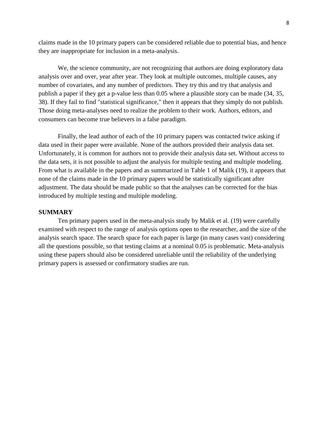claims made in the 10 primary papers can be considered reliable due to potential bias, and hence they are inappropriate for inclusion in a meta-analysis.

We, the science community, are not recognizing that authors are doing exploratory data analysis over and over, year after year. They look at multiple outcomes, multiple causes, any number of covariates, and any number of predictors. They try this and try that analysis and publish a paper if they get a p-value less than 0.05 where a plausible story can be made (34, 35, 38). If they fail to find "statistical significance," then it appears that they simply do not publish. Those doing meta-analyses need to realize the problem to their work. Authors, editors, and consumers can become true believers in a false paradigm.

Finally, the lead author of each of the 10 primary papers was contacted twice asking if data used in their paper were available. None of the authors provided their analysis data set. Unfortunately, it is common for authors not to provide their analysis data set. Without access to the data sets, it is not possible to adjust the analysis for multiple testing and multiple modeling. From what is available in the papers and as summarized in Table 1 of Malik (19), it appears that none of the claims made in the 10 primary papers would be statistically significant after adjustment. The data should be made public so that the analyses can be corrected for the bias introduced by multiple testing and multiple modeling.

### **SUMMARY**

Ten primary papers used in the meta-analysis study by Malik et al. (19) were carefully examined with respect to the range of analysis options open to the researcher, and the size of the analysis search space. The search space for each paper is large (in many cases vast) considering all the questions possible, so that testing claims at a nominal 0.05 is problematic. Meta-analysis using these papers should also be considered unreliable until the reliability of the underlying primary papers is assessed or confirmatory studies are run.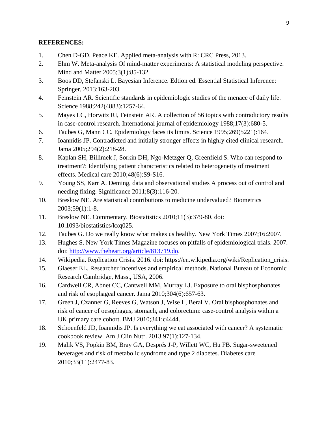## **REFERENCES:**

- 1. Chen D-GD, Peace KE. Applied meta-analysis with R: CRC Press, 2013.
- 2. Ehm W. Meta-analysis Of mind-matter experiments: A statistical modeling perspective. Mind and Matter 2005;3(1):85-132.
- 3. Boos DD, Stefanski L. Bayesian Inference. Edtion ed. Essential Statistical Inference: Springer, 2013:163-203.
- 4. Feinstein AR. Scientific standards in epidemiologic studies of the menace of daily life. Science 1988;242(4883):1257-64.
- 5. Mayes LC, Horwitz RI, Feinstein AR. A collection of 56 topics with contradictory results in case-control research. International journal of epidemiology 1988;17(3):680-5.
- 6. Taubes G, Mann CC. Epidemiology faces its limits. Science 1995;269(5221):164.
- 7. Ioannidis JP. Contradicted and initially stronger effects in highly cited clinical research. Jama 2005;294(2):218-28.
- 8. Kaplan SH, Billimek J, Sorkin DH, Ngo-Metzger Q, Greenfield S. Who can respond to treatment?: Identifying patient characteristics related to heterogeneity of treatment effects. Medical care 2010;48(6):S9-S16.
- 9. Young SS, Karr A. Deming, data and observational studies A process out of control and needing fixing. Significance 2011;8(3):116-20.
- 10. Breslow NE. Are statistical contributions to medicine undervalued? Biometrics 2003;59(1):1-8.
- 11. Breslow NE. Commentary. Biostatistics 2010;11(3):379-80. doi: 10.1093/biostatistics/kxq025.
- 12. Taubes G. Do we really know what makes us healthy. New York Times 2007;16:2007.
- 13. Hughes S. New York Times Magazine focuses on pitfalls of epidemiological trials. 2007. doi: [http://www.theheart.org/article/813719.do.](http://www.theheart.org/article/813719.do)
- 14. Wikipedia. Replication Crisis. 2016. doi: https://en.wikipedia.org/wiki/Replication\_crisis.
- 15. Glaeser EL. Researcher incentives and empirical methods. National Bureau of Economic Research Cambridge, Mass., USA, 2006.
- 16. Cardwell CR, Abnet CC, Cantwell MM, Murray LJ. Exposure to oral bisphosphonates and risk of esophageal cancer. Jama 2010;304(6):657-63.
- 17. Green J, Czanner G, Reeves G, Watson J, Wise L, Beral V. Oral bisphosphonates and risk of cancer of oesophagus, stomach, and colorectum: case-control analysis within a UK primary care cohort. BMJ 2010;341:c4444.
- 18. [Schoenfeld JD,](https://www.ncbi.nlm.nih.gov/pubmed/?term=Schoenfeld%20JD%5BAuthor%5D&cauthor=true&cauthor_uid=23193004) [Ioannidis JP.](https://www.ncbi.nlm.nih.gov/pubmed/?term=Ioannidis%20JP%5BAuthor%5D&cauthor=true&cauthor_uid=23193004) Is everything we eat associated with cancer? A systematic cookbook review. Am J Clin Nutr. 2013 97(1):127-134.
- 19. Malik VS, Popkin BM, Bray GA, Després J-P, Willett WC, Hu FB. Sugar-sweetened beverages and risk of metabolic syndrome and type 2 diabetes. Diabetes care 2010;33(11):2477-83.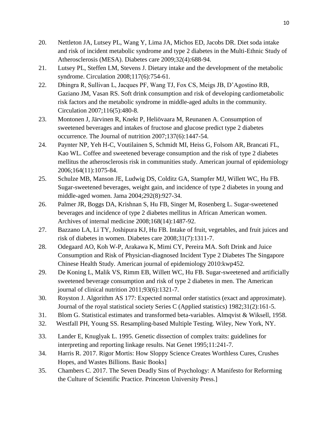- 20. Nettleton JA, Lutsey PL, Wang Y, Lima JA, Michos ED, Jacobs DR. Diet soda intake and risk of incident metabolic syndrome and type 2 diabetes in the Multi-Ethnic Study of Atherosclerosis (MESA). Diabetes care 2009;32(4):688-94.
- 21. Lutsey PL, Steffen LM, Stevens J. Dietary intake and the development of the metabolic syndrome. Circulation 2008;117(6):754-61.
- 22. Dhingra R, Sullivan L, Jacques PF, Wang TJ, Fox CS, Meigs JB, D'Agostino RB, Gaziano JM, Vasan RS. Soft drink consumption and risk of developing cardiometabolic risk factors and the metabolic syndrome in middle-aged adults in the community. Circulation 2007;116(5):480-8.
- 23. Montonen J, Järvinen R, Knekt P, Heliövaara M, Reunanen A. Consumption of sweetened beverages and intakes of fructose and glucose predict type 2 diabetes occurrence. The Journal of nutrition 2007;137(6):1447-54.
- 24. Paynter NP, Yeh H-C, Voutilainen S, Schmidt MI, Heiss G, Folsom AR, Brancati FL, Kao WL. Coffee and sweetened beverage consumption and the risk of type 2 diabetes mellitus the atherosclerosis risk in communities study. American journal of epidemiology 2006;164(11):1075-84.
- 25. Schulze MB, Manson JE, Ludwig DS, Colditz GA, Stampfer MJ, Willett WC, Hu FB. Sugar-sweetened beverages, weight gain, and incidence of type 2 diabetes in young and middle-aged women. Jama 2004;292(8):927-34.
- 26. Palmer JR, Boggs DA, Krishnan S, Hu FB, Singer M, Rosenberg L. Sugar-sweetened beverages and incidence of type 2 diabetes mellitus in African American women. Archives of internal medicine 2008;168(14):1487-92.
- 27. Bazzano LA, Li TY, Joshipura KJ, Hu FB. Intake of fruit, vegetables, and fruit juices and risk of diabetes in women. Diabetes care 2008;31(7):1311-7.
- 28. Odegaard AO, Koh W-P, Arakawa K, Mimi CY, Pereira MA. Soft Drink and Juice Consumption and Risk of Physician-diagnosed Incident Type 2 Diabetes The Singapore Chinese Health Study. American journal of epidemiology 2010:kwp452.
- 29. De Koning L, Malik VS, Rimm EB, Willett WC, Hu FB. Sugar-sweetened and artificially sweetened beverage consumption and risk of type 2 diabetes in men. The American journal of clinical nutrition 2011;93(6):1321-7.
- 30. Royston J. Algorithm AS 177: Expected normal order statistics (exact and approximate). Journal of the royal statistical society Series C (Applied statistics) 1982;31(2):161-5.
- 31. Blom G. Statistical estimates and transformed beta-variables. Almqvist & Wiksell, 1958.
- 32. Westfall PH, Young SS. Resampling-based Multiple Testing. Wiley, New York, NY.
- 33. Lander E, Knuglyak L. 1995. Genetic dissection of complex traits: guidelines for interpreting and reporting linkage results. Nat Genet 1995;11:241-7.
- 34. Harris R. 2017. Rigor Mortis: How Sloppy Science Creates Worthless Cures, Crushes Hopes, and Wastes Billions. Basic Books]
- 35. Chambers C. 2017. The Seven Deadly Sins of Psychology: A Manifesto for Reforming the Culture of Scientific Practice. Princeton University Press.]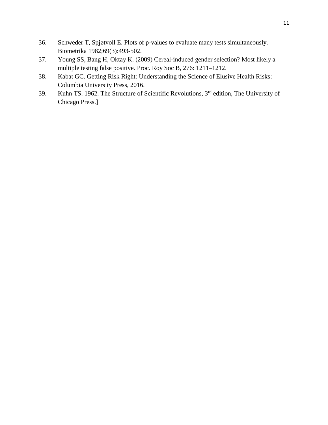- 36. Schweder T, Spjøtvoll E. Plots of p-values to evaluate many tests simultaneously. Biometrika 1982;69(3):493-502.
- 37. Young SS, Bang H, Oktay K. (2009) Cereal-induced gender selection? Most likely a multiple testing false positive. Proc. Roy Soc B, 276: 1211–1212.
- 38. Kabat GC. Getting Risk Right: Understanding the Science of Elusive Health Risks: Columbia University Press, 2016.
- 39. Kuhn TS. 1962. The Structure of Scientific Revolutions, 3rd edition, The University of Chicago Press.]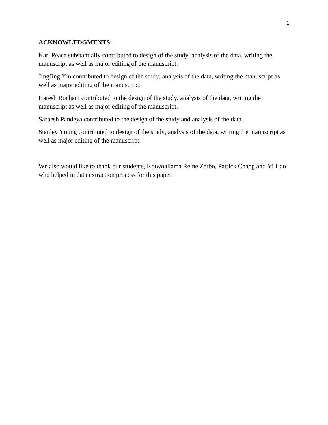## **ACKNOWLEDGMENTS:**

Karl Peace substantially contributed to design of the study, analysis of the data, writing the manuscript as well as major editing of the manuscript.

JingJing Yin contributed to design of the study, analysis of the data, writing the manuscript as well as major editing of the manuscript.

Haresh Rochani contributed to the design of the study, analysis of the data, writing the manuscript as well as major editing of the manuscript.

Sarbesh Pandeya contributed to the design of the study and analysis of the data.

Stanley Young contributed to design of the study, analysis of the data, writing the manuscript as well as major editing of the manuscript.

We also would like to thank our students, Kotwoallama Reine Zerbo, Patrick Chang and Yi Hao who helped in data extraction process for this paper.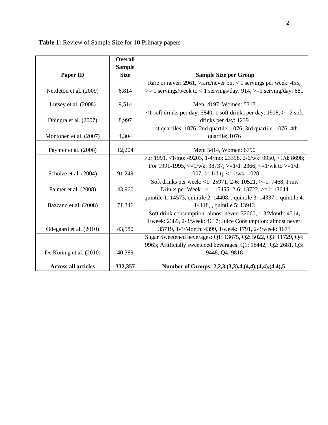| Table 1: Review of Sample Size for 10 Primary papers |  |  |  |  |
|------------------------------------------------------|--|--|--|--|
|------------------------------------------------------|--|--|--|--|

|                            | <b>Overall</b> |                                                                                 |
|----------------------------|----------------|---------------------------------------------------------------------------------|
|                            | <b>Sample</b>  |                                                                                 |
| <b>Paper ID</b>            | <b>Size</b>    | <b>Sample Size per Group</b>                                                    |
|                            |                | Rare or never: 2961, >rare/never but < 1 servings per week: 455,                |
| Nettleton et al. (2009)    | 6,814          | $\ge$ 1 servings/week to < 1 servings/day: 914, $\ge$ 1 serving/day: 681        |
| Lutsey et al. $(2008)$     | 9,514          | Men: 4197, Women: 5317                                                          |
|                            |                | <1 soft drinks per day: 5840, 1 soft drinks per day: $1918$ , $>= 2$ soft       |
| Dhingra et al. (2007)      | 8,997          | drinks per day: 1239                                                            |
|                            |                | 1st quartiles: 1076, 2nd quartile: 1076, 3rd quartile: 1076, 4th                |
| Montonen et al. (2007)     | 4,304          | quartile: 1076                                                                  |
| Paynter et al. (2006)      | 12,204         | Men: 5414, Women: 6790                                                          |
|                            |                | For 1991, <1/mo: 49203, 1-4/mo: 23398, 2-6/wk: 9950, <1/d: 8698;                |
|                            |                | For 1991-1995, $\lt=1$ /wk: 38737, $\gt=1/d$ : 2366, $\lt=1$ /wk to $\gt=1/d$ : |
| Schulze et al. (2004)      | 91,249         | 1007, $>=1/d$ tp $<=1/wk$ : 1020                                                |
|                            |                | Soft drinks per week: <1: 25971, 2-6: 10521, >=1: 7468; Fruit                   |
| Palmer et al. (2008)       | 43,960         | Drinks per Week : <1: 15455, 2-6: 13722, >=1: 13644                             |
|                            |                | quintile 1: 14573, quintile 2: 14408, , quintile 3: 14337, , quintile 4:        |
| Bazzano et al. (2008)      | 71,346         | 14118, , quintile 5: 13913                                                      |
|                            |                | Soft drink consumption: almost never: 32060, 1-3/Month: 4514,                   |
|                            |                | 1/week: 2389, 2-3/week: 4617; Juice Consumption: almost never:                  |
| Odegaard et al. (2010)     | 43,580         | 35719, 1-3/Month: 4399, 1/week: 1791, 2-3/week: 1671                            |
|                            |                | Sugar Sweetened beverages: Q1: 13675, Q2: 5022, Q3: 11729, Q4:                  |
|                            |                | 9963; Artificially sweetened beverages: Q1: 18442, Q2: 2681, Q3:                |
| De Koning et al. (2010)    | 40,389         | 9448, Q4: 9818                                                                  |
| <b>Across all articles</b> | 332,357        | Number of Groups: 2,2,3,(3,3),4,(4,4),(4,4),(4,4),5                             |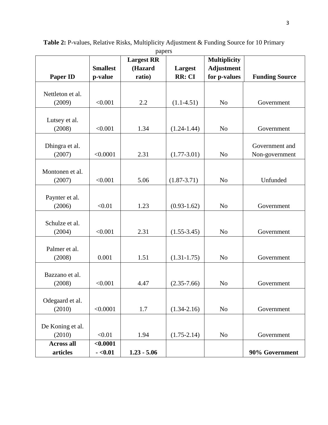|                   |                 | $\mathbf{r}$ $\mathbf{r}$<br><b>Largest RR</b> |                 | <b>Multiplicity</b> |                       |
|-------------------|-----------------|------------------------------------------------|-----------------|---------------------|-----------------------|
|                   | <b>Smallest</b> | (Hazard                                        | Largest         | <b>Adjustment</b>   |                       |
| <b>Paper ID</b>   | p-value         | ratio)                                         | RR: CI          | for p-values        | <b>Funding Source</b> |
|                   |                 |                                                |                 |                     |                       |
| Nettleton et al.  |                 |                                                |                 |                     |                       |
| (2009)            | < 0.001         | 2.2                                            | $(1.1-4.51)$    | N <sub>o</sub>      | Government            |
|                   |                 |                                                |                 |                     |                       |
| Lutsey et al.     |                 |                                                |                 |                     |                       |
| (2008)            | < 0.001         | 1.34                                           | $(1.24 - 1.44)$ | N <sub>o</sub>      | Government            |
|                   |                 |                                                |                 |                     |                       |
| Dhingra et al.    |                 |                                                |                 |                     | Government and        |
| (2007)            | < 0.0001        | 2.31                                           | $(1.77 - 3.01)$ | N <sub>o</sub>      | Non-government        |
|                   |                 |                                                |                 |                     |                       |
| Montonen et al.   |                 |                                                |                 |                     |                       |
| (2007)            | < 0.001         | 5.06                                           | $(1.87 - 3.71)$ | N <sub>o</sub>      | Unfunded              |
|                   |                 |                                                |                 |                     |                       |
| Paynter et al.    |                 |                                                |                 |                     |                       |
| (2006)            | < 0.01          | 1.23                                           | $(0.93 - 1.62)$ | N <sub>o</sub>      | Government            |
|                   |                 |                                                |                 |                     |                       |
| Schulze et al.    |                 |                                                |                 |                     |                       |
| (2004)            | < 0.001         | 2.31                                           | $(1.55 - 3.45)$ | N <sub>o</sub>      | Government            |
|                   |                 |                                                |                 |                     |                       |
| Palmer et al.     |                 |                                                |                 |                     |                       |
| (2008)            | 0.001           | 1.51                                           | $(1.31 - 1.75)$ | N <sub>o</sub>      | Government            |
|                   |                 |                                                |                 |                     |                       |
| Bazzano et al.    |                 |                                                |                 |                     |                       |
| (2008)            | < 0.001         | 4.47                                           | $(2.35 - 7.66)$ | N <sub>o</sub>      | Government            |
|                   |                 |                                                |                 |                     |                       |
| Odegaard et al.   |                 |                                                |                 |                     |                       |
| (2010)            | < 0.0001        | 1.7                                            | $(1.34 - 2.16)$ | No                  | Government            |
|                   |                 |                                                |                 |                     |                       |
| De Koning et al.  |                 |                                                |                 |                     |                       |
| (2010)            | < 0.01          | 1.94                                           | $(1.75 - 2.14)$ | N <sub>o</sub>      | Government            |
| <b>Across all</b> | < 0.0001        |                                                |                 |                     |                       |
| articles          | $-0.01$         | $1.23 - 5.06$                                  |                 |                     | 90% Government        |

**Table 2:** P-values, Relative Risks, Multiplicity Adjustment & Funding Source for 10 Primary papers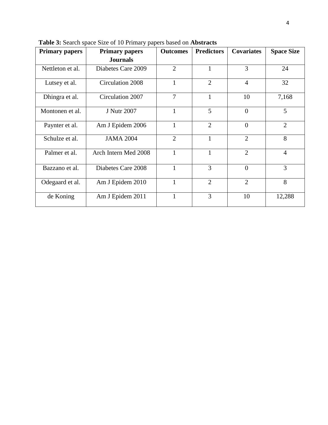| <b>Primary papers</b> | <b>Primary papers</b> | <b>Outcomes</b> | <b>Predictors</b> | <b>Covariates</b> | <b>Space Size</b> |
|-----------------------|-----------------------|-----------------|-------------------|-------------------|-------------------|
|                       | <b>Journals</b>       |                 |                   |                   |                   |
| Nettleton et al.      | Diabetes Care 2009    | $\overline{2}$  | $\mathbf{1}$      | 3                 | 24                |
| Lutsey et al.         | Circulation 2008      | $\mathbf{1}$    | $\overline{2}$    | $\overline{4}$    | 32                |
| Dhingra et al.        | Circulation 2007      | $\overline{7}$  | 1                 | 10                | 7,168             |
| Montonen et al.       | <b>J</b> Nutr 2007    | $\mathbf{1}$    | 5                 | $\theta$          | 5                 |
| Paynter et al.        | Am J Epidem 2006      | $\mathbf{1}$    | $\overline{2}$    | $\theta$          | $\overline{2}$    |
| Schulze et al.        | <b>JAMA 2004</b>      | $\overline{2}$  | $\mathbf{1}$      | $\overline{2}$    | 8                 |
| Palmer et al.         | Arch Intern Med 2008  | $\mathbf{1}$    | 1                 | $\overline{2}$    | $\overline{4}$    |
| Bazzano et al.        | Diabetes Care 2008    | 1               | 3                 | $\overline{0}$    | 3                 |
| Odegaard et al.       | Am J Epidem 2010      | $\mathbf{1}$    | $\overline{2}$    | $\overline{2}$    | 8                 |
| de Koning             | Am J Epidem 2011      | $\mathbf{1}$    | 3                 | 10                | 12,288            |

**Table 3:** Search space Size of 10 Primary papers based on **Abstracts**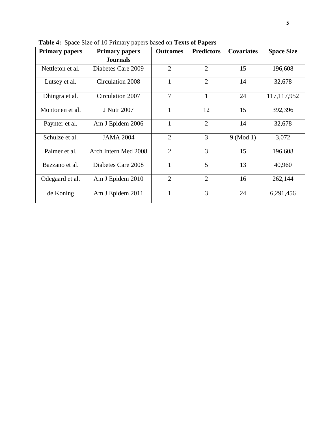| <b>Primary papers</b> | <b>Primary papers</b> | <b>Outcomes</b> | <b>Predictors</b> | <b>Covariates</b> | <b>Space Size</b> |
|-----------------------|-----------------------|-----------------|-------------------|-------------------|-------------------|
|                       | <b>Journals</b>       |                 |                   |                   |                   |
| Nettleton et al.      | Diabetes Care 2009    | $\overline{2}$  | $\overline{2}$    | 15                | 196,608           |
| Lutsey et al.         | Circulation 2008      |                 | $\overline{2}$    | 14                | 32,678            |
| Dhingra et al.        | Circulation 2007      | 7               | $\mathbf{1}$      | 24                | 117, 117, 952     |
| Montonen et al.       | <b>J</b> Nutr 2007    | 1               | 12                | 15                | 392,396           |
| Paynter et al.        | Am J Epidem 2006      |                 | $\overline{2}$    | 14                | 32,678            |
| Schulze et al.        | <b>JAMA 2004</b>      | $\overline{2}$  | 3                 | $9 \pmod{1}$      | 3,072             |
| Palmer et al.         | Arch Intern Med 2008  | $\overline{2}$  | 3                 | 15                | 196,608           |
| Bazzano et al.        | Diabetes Care 2008    |                 | 5                 | 13                | 40,960            |
| Odegaard et al.       | Am J Epidem 2010      | $\overline{2}$  | $\overline{2}$    | 16                | 262,144           |
| de Koning             | Am J Epidem 2011      | 1               | 3                 | 24                | 6,291,456         |

**Table 4:** Space Size of 10 Primary papers based on **Texts of Papers**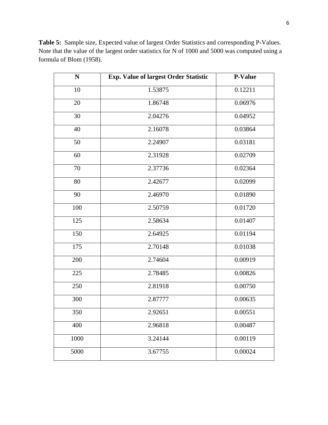| $\mathbf N$ | <b>Exp. Value of largest Order Statistic</b> | <b>P-Value</b> |
|-------------|----------------------------------------------|----------------|
| 10          | 1.53875                                      | 0.12211        |
| 20          | 1.86748                                      | 0.06976        |
| 30          | 2.04276                                      | 0.04952        |
| 40          | 2.16078                                      | 0.03864        |
| 50          | 2.24907                                      | 0.03181        |
| 60          | 2.31928                                      | 0.02709        |
| 70          | 2.37736                                      | 0.02364        |
| 80          | 2.42677                                      | 0.02099        |
| 90          | 2.46970                                      | 0.01890        |
| 100         | 2.50759                                      | 0.01720        |
| 125         | 2.58634                                      | 0.01407        |
| 150         | 2.64925                                      | 0.01194        |
| 175         | 2.70148                                      | 0.01038        |
| 200         | 2.74604                                      | 0.00919        |
| 225         | 2.78485                                      | 0.00826        |
| 250         | 2.81918                                      | 0.00750        |
| 300         | 2.87777                                      | 0.00635        |
| 350         | 2.92651                                      | 0.00551        |
| 400         | 2.96818                                      | 0.00487        |
| 1000        | 3.24144                                      | 0.00119        |
| 5000        | 3.67755                                      | 0.00024        |

**Table 5:** Sample size, Expected value of largest Order Statistics and corresponding P-Values. Note that the value of the largest order statistics for N of 1000 and 5000 was computed using a formula of Blom (1958).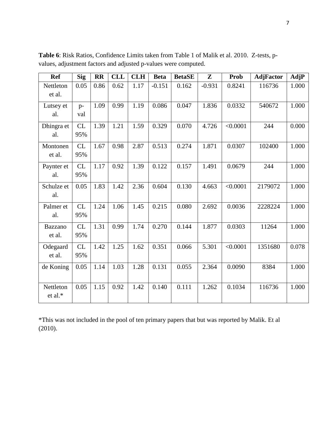| <b>Ref</b>               | <b>Sig</b>       | $\mathbf{R}$ | <b>CLL</b> | <b>CLH</b> | <b>Beta</b> | <b>BetaSE</b> | ${\bf Z}$ | <b>Prob</b> | <b>AdjFactor</b> | AdjP  |
|--------------------------|------------------|--------------|------------|------------|-------------|---------------|-----------|-------------|------------------|-------|
| Nettleton<br>et al.      | 0.05             | 0.86         | 0.62       | 1.17       | $-0.151$    | 0.162         | $-0.931$  | 0.8241      | 116736           | 1.000 |
| Lutsey et<br>al.         | $p-$<br>val      | 1.09         | 0.99       | 1.19       | 0.086       | 0.047         | 1.836     | 0.0332      | 540672           | 1.000 |
| Dhingra et<br>al.        | CL<br>95%        | 1.39         | 1.21       | 1.59       | 0.329       | 0.070         | 4.726     | < 0.0001    | 244              | 0.000 |
| Montonen<br>et al.       | CL<br>95%        | 1.67         | 0.98       | 2.87       | 0.513       | 0.274         | 1.871     | 0.0307      | 102400           | 1.000 |
| Paynter et<br>al.        | CL<br>95%        | 1.17         | 0.92       | 1.39       | 0.122       | 0.157         | 1.491     | 0.0679      | 244              | 1.000 |
| Schulze et<br>al.        | 0.05             | 1.83         | 1.42       | 2.36       | 0.604       | 0.130         | 4.663     | < 0.0001    | 2179072          | 1.000 |
| Palmer et<br>al.         | CL<br>95%        | 1.24         | 1.06       | 1.45       | 0.215       | 0.080         | 2.692     | 0.0036      | 2228224          | 1.000 |
| <b>Bazzano</b><br>et al. | <b>CL</b><br>95% | 1.31         | 0.99       | 1.74       | 0.270       | 0.144         | 1.877     | 0.0303      | 11264            | 1.000 |
| Odegaard<br>et al.       | CL<br>95%        | 1.42         | 1.25       | 1.62       | 0.351       | 0.066         | 5.301     | < 0.0001    | 1351680          | 0.078 |
| de Koning                | 0.05             | 1.14         | 1.03       | 1.28       | 0.131       | 0.055         | 2.364     | 0.0090      | 8384             | 1.000 |
| Nettleton<br>et al.*     | 0.05             | 1.15         | 0.92       | 1.42       | 0.140       | 0.111         | 1.262     | 0.1034      | 116736           | 1.000 |

**Table 6**: Risk Ratios, Confidence Limits taken from Table 1 of Malik et al. 2010. Z-tests, pvalues, adjustment factors and adjusted p-values were computed.

\*This was not included in the pool of ten primary papers that but was reported by Malik. Et al (2010).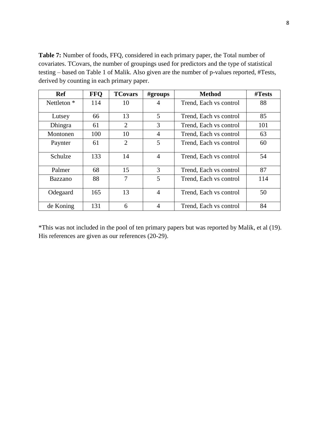**Table 7:** Number of foods, FFQ, considered in each primary paper, the Total number of covariates. TCovars, the number of groupings used for predictors and the type of statistical testing – based on Table 1 of Malik. Also given are the number of p-values reported, #Tests, derived by counting in each primary paper.

| <b>Ref</b>  | <b>FFQ</b> | <b>TCovars</b> | #groups        | <b>Method</b>          | #Tests |
|-------------|------------|----------------|----------------|------------------------|--------|
| Nettleton * | 114        | 10             | 4              | Trend, Each vs control | 88     |
|             |            |                |                |                        |        |
| Lutsey      | 66         | 13             | 5              | Trend, Each vs control | 85     |
| Dhingra     | 61         | $\overline{2}$ | 3              | Trend, Each vs control | 101    |
| Montonen    | 100        | 10             | $\overline{4}$ | Trend, Each vs control | 63     |
| Paynter     | 61         | $\overline{2}$ | 5              | Trend, Each vs control | 60     |
| Schulze     | 133        | 14             | $\overline{4}$ | Trend, Each vs control | 54     |
| Palmer      | 68         | 15             | 3              | Trend, Each vs control | 87     |
| Bazzano     | 88         | 7              | 5              | Trend, Each vs control | 114    |
| Odegaard    | 165        | 13             | $\overline{4}$ | Trend, Each vs control | 50     |
| de Koning   | 131        | 6              | 4              | Trend, Each vs control | 84     |

\*This was not included in the pool of ten primary papers but was reported by Malik, et al (19). His references are given as our references (20-29).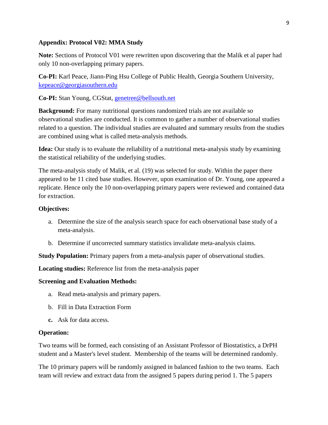## **Appendix: Protocol V02: MMA Study**

**Note:** Sections of Protocol V01 were rewritten upon discovering that the Malik et al paper had only 10 non-overlapping primary papers.

**Co-PI:** Karl Peace, Jiann-Ping Hsu College of Public Health, Georgia Southern University, [kepeace@georgiasouthern.edu](mailto:kepeace@georgiasouthern.edu)

**Co-PI:** Stan Young, CGStat, [genetree@bellsouth.net](mailto:genetree@bellsouth.net)

**Background:** For many nutritional questions randomized trials are not available so observational studies are conducted. It is common to gather a number of observational studies related to a question. The individual studies are evaluated and summary results from the studies are combined using what is called meta-analysis methods.

**Idea:** Our study is to evaluate the reliability of a nutritional meta-analysis study by examining the statistical reliability of the underlying studies.

The meta-analysis study of Malik, et al. (19) was selected for study. Within the paper there appeared to be 11 cited base studies. However, upon examination of Dr. Young, one appeared a replicate. Hence only the 10 non-overlapping primary papers were reviewed and contained data for extraction.

## **Objectives:**

- a. Determine the size of the analysis search space for each observational base study of a meta-analysis.
- b. Determine if uncorrected summary statistics invalidate meta-analysis claims.

**Study Population:** Primary papers from a meta-analysis paper of observational studies.

**Locating studies:** Reference list from the meta-analysis paper

## **Screening and Evaluation Methods:**

- a. Read meta-analysis and primary papers.
- b. Fill in Data Extraction Form
- **c.** Ask for data access.

## **Operation:**

Two teams will be formed, each consisting of an Assistant Professor of Biostatistics, a DrPH student and a Master's level student. Membership of the teams will be determined randomly.

The 10 primary papers will be randomly assigned in balanced fashion to the two teams. Each team will review and extract data from the assigned 5 papers during period 1. The 5 papers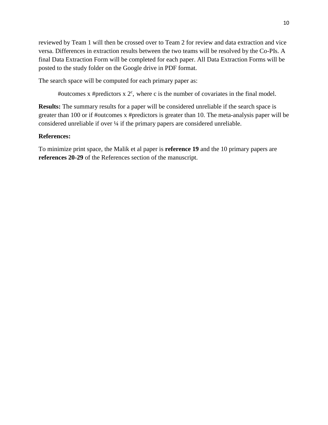reviewed by Team 1 will then be crossed over to Team 2 for review and data extraction and vice versa. Differences in extraction results between the two teams will be resolved by the Co-PIs. A final Data Extraction Form will be completed for each paper. All Data Extraction Forms will be posted to the study folder on the Google drive in PDF format.

The search space will be computed for each primary paper as:

#outcomes x #predictors  $x \, 2^c$ , where c is the number of covariates in the final model.

**Results:** The summary results for a paper will be considered unreliable if the search space is greater than 100 or if #outcomes x #predictors is greater than 10. The meta-analysis paper will be considered unreliable if over ¼ if the primary papers are considered unreliable.

## **References:**

To minimize print space, the Malik et al paper is **reference 19** and the 10 primary papers are **references 20-29** of the References section of the manuscript.